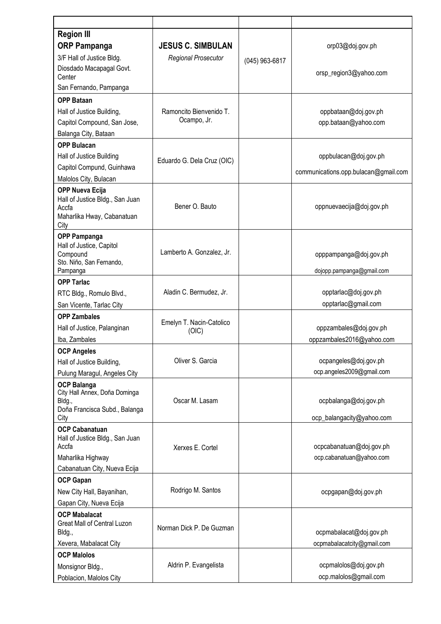| <b>Region III</b>                                         |                                        |                |                                      |
|-----------------------------------------------------------|----------------------------------------|----------------|--------------------------------------|
| <b>ORP Pampanga</b>                                       | <b>JESUS C. SIMBULAN</b>               |                | orp03@doj.gov.ph                     |
| 3/F Hall of Justice Bldg.                                 | <b>Regional Prosecutor</b>             | (045) 963-6817 |                                      |
| Diosdado Macapagal Govt.                                  |                                        |                | orsp_region3@yahoo.com               |
| Center                                                    |                                        |                |                                      |
| San Fernando, Pampanga                                    |                                        |                |                                      |
| <b>OPP Bataan</b>                                         |                                        |                |                                      |
| Hall of Justice Building,                                 | Ramoncito Bienvenido T.<br>Ocampo, Jr. |                | oppbataan@doj.gov.ph                 |
| Capitol Compound, San Jose,                               |                                        |                | opp.bataan@yahoo.com                 |
| Balanga City, Bataan                                      |                                        |                |                                      |
| <b>OPP Bulacan</b>                                        |                                        |                |                                      |
| Hall of Justice Building                                  | Eduardo G. Dela Cruz (OIC)             |                | oppbulacan@doj.gov.ph                |
| Capitol Compund, Guinhawa                                 |                                        |                | communications.opp.bulacan@gmail.com |
| Malolos City, Bulacan                                     |                                        |                |                                      |
| <b>OPP Nueva Ecija</b><br>Hall of Justice Bldg., San Juan |                                        |                |                                      |
| Accfa                                                     | Bener O. Bauto                         |                | oppnuevaecija@doj.gov.ph             |
| Maharlika Hway, Cabanatuan                                |                                        |                |                                      |
| City                                                      |                                        |                |                                      |
| <b>OPP Pampanga</b><br>Hall of Justice, Capitol           |                                        |                |                                      |
| Compound                                                  | Lamberto A. Gonzalez, Jr.              |                | opppampanga@doj.gov.ph               |
| Sto. Niño, San Fernando,                                  |                                        |                |                                      |
| Pampanga                                                  |                                        |                | dojopp.pampanga@gmail.com            |
| <b>OPP Tarlac</b>                                         | Aladin C. Bermudez, Jr.                |                | opptarlac@doj.gov.ph                 |
| RTC Bldg., Romulo Blvd.,                                  |                                        |                | opptarlac@gmail.com                  |
| San Vicente, Tarlac City                                  |                                        |                |                                      |
| <b>OPP Zambales</b>                                       | Emelyn T. Nacin-Catolico               |                |                                      |
| Hall of Justice, Palanginan                               | (OIC)                                  |                | oppzambales@doj.gov.ph               |
| Iba, Zambales                                             |                                        |                | oppzambales2016@yahoo.com            |
| <b>OCP Angeles</b>                                        | Oliver S. Garcia                       |                | ocpangeles@doj.gov.ph                |
| Hall of Justice Building,<br>Pulung Maragul, Angeles City |                                        |                | ocp.angeles2009@gmail.com            |
|                                                           |                                        |                |                                      |
| <b>OCP Balanga</b><br>City Hall Annex, Doña Dominga       |                                        |                |                                      |
| Bldg.,                                                    | Oscar M. Lasam                         |                | ocpbalanga@doj.gov.ph                |
| Doña Francisca Subd., Balanga<br>City                     |                                        |                | ocp_balangacity@yahoo.com            |
| <b>OCP Cabanatuan</b>                                     |                                        |                |                                      |
| Hall of Justice Bldg., San Juan                           |                                        |                |                                      |
| Accfa                                                     | Xerxes E. Cortel                       |                | ocpcabanatuan@doj.gov.ph             |
| Maharlika Highway                                         |                                        |                | ocp.cabanatuan@yahoo.com             |
| Cabanatuan City, Nueva Ecija                              |                                        |                |                                      |
| <b>OCP Gapan</b>                                          |                                        |                |                                      |
| New City Hall, Bayanihan,                                 | Rodrigo M. Santos                      |                | ocpgapan@doj.gov.ph                  |
| Gapan City, Nueva Ecija                                   |                                        |                |                                      |
| <b>OCP Mabalacat</b>                                      |                                        |                |                                      |
| Great Mall of Central Luzon<br>Bldg.,                     | Norman Dick P. De Guzman               |                | ocpmabalacat@doj.gov.ph              |
| Xevera, Mabalacat City                                    |                                        |                | ocpmabalacatcity@gmail.com           |
| <b>OCP Malolos</b>                                        |                                        |                |                                      |
| Monsignor Bldg.,                                          | Aldrin P. Evangelista                  |                | ocpmalolos@doj.gov.ph                |
| Poblacion, Malolos City                                   |                                        |                | ocp.malolos@gmail.com                |
|                                                           |                                        |                |                                      |